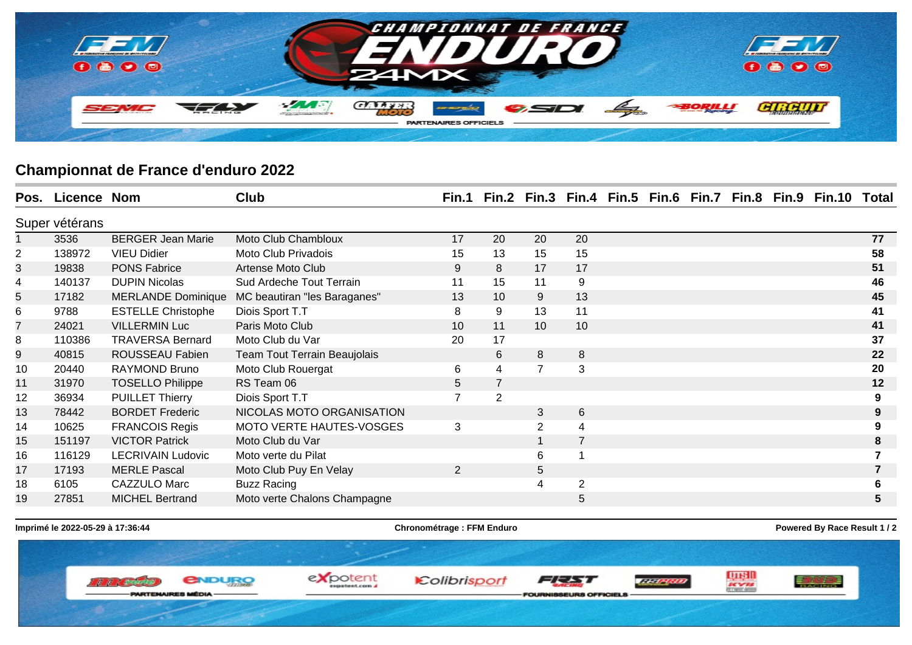

## **Championnat de France d'enduro 2022**

|                | Pos. Licence Nom |                           | <b>Club</b>                  |                |                |                |                |  |  | Fin.1 Fin.2 Fin.3 Fin.4 Fin.5 Fin.6 Fin.7 Fin.8 Fin.9 Fin.10 | Total |
|----------------|------------------|---------------------------|------------------------------|----------------|----------------|----------------|----------------|--|--|--------------------------------------------------------------|-------|
| Super vétérans |                  |                           |                              |                |                |                |                |  |  |                                                              |       |
|                | 3536             | <b>BERGER Jean Marie</b>  | Moto Club Chambloux          | 17             | 20             | 20             | 20             |  |  |                                                              | 77    |
| $\overline{2}$ | 138972           | <b>VIEU Didier</b>        | Moto Club Privadois          | 15             | 13             | 15             | 15             |  |  |                                                              | 58    |
| 3              | 19838            | <b>PONS Fabrice</b>       | Artense Moto Club            | 9              | 8              | 17             | 17             |  |  |                                                              | 51    |
| 4              | 140137           | <b>DUPIN Nicolas</b>      | Sud Ardeche Tout Terrain     | 11             | 15             | 11             | 9              |  |  |                                                              | 46    |
| 5              | 17182            | <b>MERLANDE Dominique</b> | MC beautiran "les Baraganes" | 13             | 10             | 9              | 13             |  |  |                                                              | 45    |
| 6              | 9788             | <b>ESTELLE Christophe</b> | Diois Sport T.T              | 8              | 9              | 13             | 11             |  |  |                                                              | 41    |
| 7              | 24021            | <b>VILLERMIN Luc</b>      | Paris Moto Club              | 10             | 11             | 10             | 10             |  |  |                                                              | 41    |
| 8              | 110386           | <b>TRAVERSA Bernard</b>   | Moto Club du Var             | 20             | 17             |                |                |  |  |                                                              | 37    |
| 9              | 40815            | ROUSSEAU Fabien           | Team Tout Terrain Beaujolais |                | 6              | 8              | 8              |  |  |                                                              | 22    |
| 10             | 20440            | <b>RAYMOND Bruno</b>      | Moto Club Rouergat           | 6              | 4              | $\overline{7}$ | $\mathbf{3}$   |  |  |                                                              | 20    |
| 11             | 31970            | <b>TOSELLO Philippe</b>   | RS Team 06                   | $\overline{5}$ |                |                |                |  |  |                                                              | 12    |
| 12             | 36934            | <b>PUILLET Thierry</b>    | Diois Sport T.T              | $\overline{7}$ | $\overline{2}$ |                |                |  |  |                                                              | 9     |
| 13             | 78442            | <b>BORDET Frederic</b>    | NICOLAS MOTO ORGANISATION    |                |                | 3              | 6              |  |  |                                                              |       |
| 14             | 10625            | <b>FRANCOIS Regis</b>     | MOTO VERTE HAUTES-VOSGES     | 3              |                | 2              | $\overline{4}$ |  |  |                                                              |       |
| 15             | 151197           | <b>VICTOR Patrick</b>     | Moto Club du Var             |                |                |                | $\overline{7}$ |  |  |                                                              |       |
| 16             | 116129           | <b>LECRIVAIN Ludovic</b>  | Moto verte du Pilat          |                |                | 6              |                |  |  |                                                              |       |
| 17             | 17193            | <b>MERLE Pascal</b>       | Moto Club Puy En Velay       | $\overline{2}$ |                | 5              |                |  |  |                                                              |       |
| 18             | 6105             | <b>CAZZULO Marc</b>       | <b>Buzz Racing</b>           |                |                | $\overline{4}$ | $\overline{2}$ |  |  |                                                              |       |
| 19             | 27851            | <b>MICHEL Bertrand</b>    | Moto verte Chalons Champagne |                |                |                | 5              |  |  |                                                              | 5.    |

**Imprimé le 2022-05-29 à 17:36:44 Chronométrage : FFM Enduro Chronométrage : FFM Enduro Powered By Race Result 1 / 2**